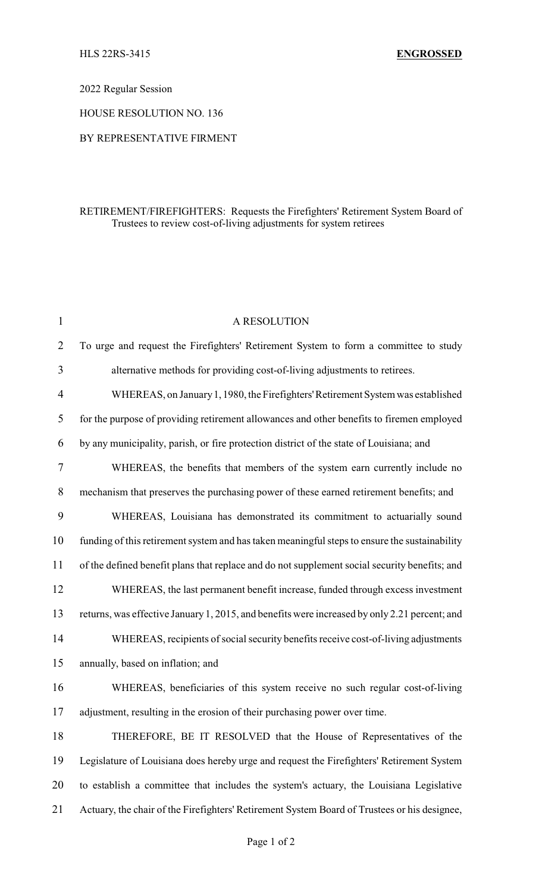## 2022 Regular Session

HOUSE RESOLUTION NO. 136

#### BY REPRESENTATIVE FIRMENT

## RETIREMENT/FIREFIGHTERS: Requests the Firefighters' Retirement System Board of Trustees to review cost-of-living adjustments for system retirees

| $\mathbf{1}$ | A RESOLUTION                                                                                  |
|--------------|-----------------------------------------------------------------------------------------------|
| 2            | To urge and request the Firefighters' Retirement System to form a committee to study          |
| 3            | alternative methods for providing cost-of-living adjustments to retirees.                     |
| 4            | WHEREAS, on January 1, 1980, the Firefighters' Retirement System was established              |
| 5            | for the purpose of providing retirement allowances and other benefits to firemen employed     |
| 6            | by any municipality, parish, or fire protection district of the state of Louisiana; and       |
| 7            | WHEREAS, the benefits that members of the system earn currently include no                    |
| 8            | mechanism that preserves the purchasing power of these earned retirement benefits; and        |
| 9            | WHEREAS, Louisiana has demonstrated its commitment to actuarially sound                       |
| 10           | funding of this retirement system and has taken meaningful steps to ensure the sustainability |
| 11           | of the defined benefit plans that replace and do not supplement social security benefits; and |
| 12           | WHEREAS, the last permanent benefit increase, funded through excess investment                |
| 13           | returns, was effective January 1, 2015, and benefits were increased by only 2.21 percent; and |
| 14           | WHEREAS, recipients of social security benefits receive cost-of-living adjustments            |
| 15           | annually, based on inflation; and                                                             |
| 16           | WHEREAS, beneficiaries of this system receive no such regular cost-of-living                  |
| 17           | adjustment, resulting in the erosion of their purchasing power over time.                     |
| 18           | THEREFORE, BE IT RESOLVED that the House of Representatives of the                            |
| 19           | Legislature of Louisiana does hereby urge and request the Firefighters' Retirement System     |
| 20           | to establish a committee that includes the system's actuary, the Louisiana Legislative        |
| 21           | Actuary, the chair of the Firefighters' Retirement System Board of Trustees or his designee,  |